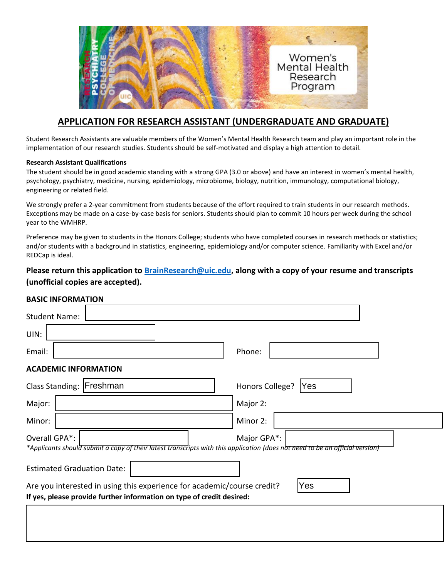

## **APPLICATION FOR RESEARCH ASSISTANT (UNDERGRADUATE AND GRADUATE)**

Student Research Assistants are valuable members of the Women's Mental Health Research team and play an important role in the implementation of our research studies. Students should be self-motivated and display a high attention to detail.

## **Research Assistant Qualifications**

The student should be in good academic standing with a strong GPA (3.0 or above) and have an interest in women's mental health, psychology, psychiatry, medicine, nursing, epidemiology, microbiome, biology, nutrition, immunology, computational biology, engineering or related field.

We strongly prefer a 2-year commitment from students because of the effort required to train students in our research methods. Exceptions may be made on a case-by-case basis for seniors. Students should plan to commit 10 hours per week during the school year to the WMHRP.

Preference may be given to students in the Honors College; students who have completed courses in research methods or statistics; and/or students with a background in statistics, engineering, epidemiology and/or computer science. Familiarity with Excel and/or REDCap is ideal.

## **Please return this application to [BrainResearch@uic.edu,](mailto:BrainResearch@uic.edu) along with a copy of your resume and transcripts (unofficial copies are accepted).**

## **BASIC INFORMATION**

| <b>Student Name:</b>                                                                                                                          |                               |
|-----------------------------------------------------------------------------------------------------------------------------------------------|-------------------------------|
| UIN:                                                                                                                                          |                               |
| Email:                                                                                                                                        | Phone:                        |
| <b>ACADEMIC INFORMATION</b>                                                                                                                   |                               |
| Class Standing:   Freshman                                                                                                                    | Honors College?<br><b>Yes</b> |
| Major:                                                                                                                                        | Major 2:                      |
| Minor:                                                                                                                                        | Minor 2:                      |
| Overall GPA*:<br>*Applicants should submit a copy of their latest transcripts with this application (does not need to be an official version) | Major GPA*:                   |
| <b>Estimated Graduation Date:</b>                                                                                                             |                               |
| Are you interested in using this experience for academic/course credit?                                                                       | <b>Yes</b>                    |
| If yes, please provide further information on type of credit desired:                                                                         |                               |
|                                                                                                                                               |                               |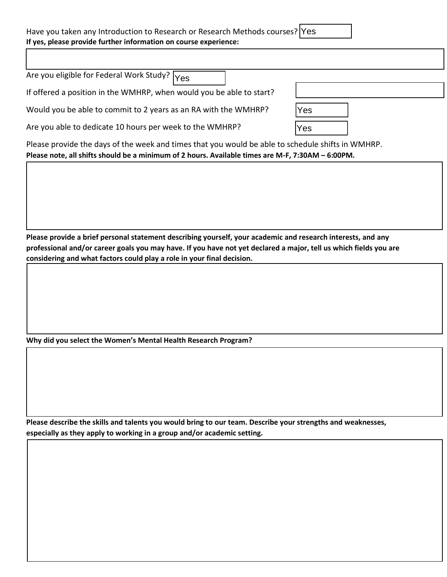| Have you taken any Introduction to Research or Research Methods courses?  Yes |  |  |
|-------------------------------------------------------------------------------|--|--|
| If yes, please provide further information on course experience:              |  |  |

| Are you eligible for Federal Work Study? $\overline{Y_{\text{ES}}}$                               |            |  |
|---------------------------------------------------------------------------------------------------|------------|--|
| If offered a position in the WMHRP, when would you be able to start?                              |            |  |
| Would you be able to commit to 2 years as an RA with the WMHRP?                                   | <b>Yes</b> |  |
| Are you able to dedicate 10 hours per week to the WMHRP?                                          | 'Yes       |  |
| Please provide the days of the week and times that you would be able to schedule shifts in WMHRP. |            |  |

**Please note, all shifts should be a minimum of 2 hours. Available times are M-F, 7:30AM – 6:00PM.**

**Please provide a brief personal statement describing yourself, your academic and research interests, and any professional and/or career goals you may have. If you have not yet declared a major, tell us which fields you are considering and what factors could play a role in your final decision.** 

**Why did you select the Women's Mental Health Research Program?** 

**Please describe the skills and talents you would bring to our team. Describe your strengths and weaknesses, especially as they apply to working in a group and/or academic setting.**